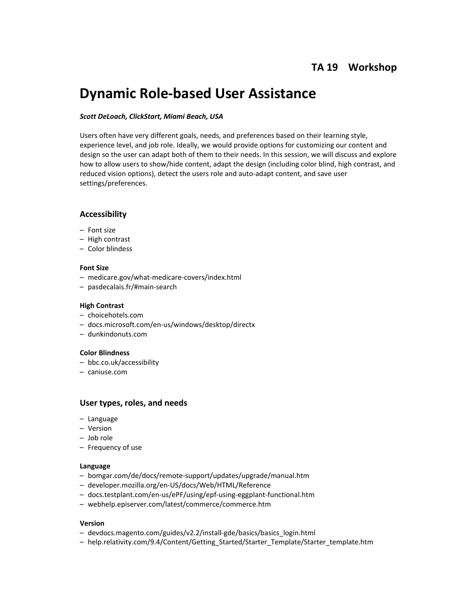# **Dynamic Role‐based User Assistance**

## *Scott DeLoach, ClickStart, Miami Beach, USA*

Users often have very different goals, needs, and preferences based on their learning style, experience level, and job role. Ideally, we would provide options for customizing our content and design so the user can adapt both of them to their needs. In this session, we will discuss and explore how to allow users to show/hide content, adapt the design (including color blind, high contrast, and reduced vision options), detect the users role and auto-adapt content, and save user settings/preferences.

# **Accessibility**

- Font size
- High contrast
- Color blindess

#### **Font Size**

- medicare.gov/what‐medicare‐covers/index.html
- pasdecalais.fr/#main‐search

## **High Contrast**

- choicehotels.com
- docs.microsoft.com/en‐us/windows/desktop/directx
- dunkindonuts.com

#### **Color Blindness**

- bbc.co.uk/accessibility
- caniuse.com

# **User types, roles, and needs**

- Language
- Version
- Job role
- Frequency of use

#### **Language**

- bomgar.com/de/docs/remote‐support/updates/upgrade/manual.htm
- developer.mozilla.org/en‐US/docs/Web/HTML/Reference
- docs.testplant.com/en‐us/ePF/using/epf‐using‐eggplant‐functional.htm
- webhelp.episerver.com/latest/commerce/commerce.htm

#### **Version**

- devdocs.magento.com/guides/v2.2/install‐gde/basics/basics\_login.html
- help.relativity.com/9.4/Content/Getting\_Started/Starter\_Template/Starter\_template.htm